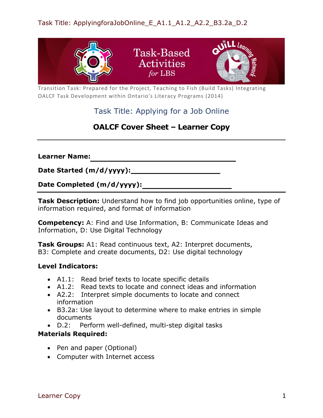

Transition Task: Prepared for the Project, Teaching to Fish (Build Tasks) Integrating OALCF Task Development within Ontario's Literacy Programs (2014)

# Task Title: Applying for a Job Online

# **OALCF Cover Sheet – Learner Copy**

**Learner Name:**

**Date Started (m/d/yyyy):**

**Date Completed (m/d/yyyy):** 

**Task Description:** Understand how to find job opportunities online, type of information required, and format of information

**Competency:** A: Find and Use Information, B: Communicate Ideas and Information, D: Use Digital Technology

**Task Groups:** A1: Read continuous text, A2: Interpret documents, B3: Complete and create documents, D2: Use digital technology

## **Level Indicators:**

- A1.1: Read brief texts to locate specific details
- A1.2: Read texts to locate and connect ideas and information
- A2.2: Interpret simple documents to locate and connect information
- B3.2a: Use layout to determine where to make entries in simple documents
- D.2: Perform well-defined, multi-step digital tasks

## **Materials Required:**

- Pen and paper (Optional)
- Computer with Internet access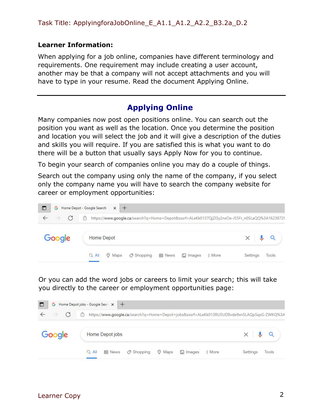#### **Learner Information:**

When applying for a job online, companies have different terminology and requirements. One requirement may include creating a user account, another may be that a company will not accept attachments and you will have to type in your resume. Read the document Applying Online.

# **Applying Online**

Many companies now post open positions online. You can search out the position you want as well as the location. Once you determine the position and location you will select the job and it will give a description of the duties and skills you will require. If you are satisfied this is what you want to do there will be a button that usually says Apply Now for you to continue.

To begin your search of companies online you may do a couple of things.

Search out the company using only the name of the company, if you select only the company name you will have to search the company website for career or employment opportunities:



Or you can add the word jobs or careers to limit your search; this will take you directly to the career or employment opportunities page:

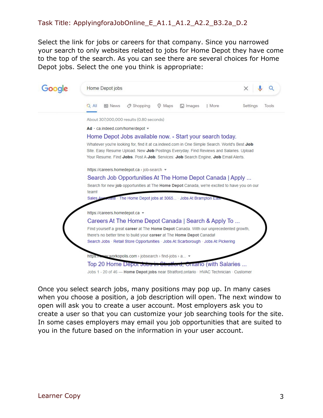Select the link for jobs or careers for that company. Since you narrowed your search to only websites related to jobs for Home Depot they have come to the top of the search. As you can see there are several choices for Home Depot jobs. Select the one you think is appropriate:



Jobs 1 - 20 of 46 - Home Depot jobs near Stratford, ontario · HVAC Technician · Customer

Once you select search jobs, many positions may pop up. In many cases when you choose a position, a job description will open. The next window to open will ask you to create a user account. Most employers ask you to create a user so that you can customize your job searching tools for the site. In some cases employers may email you job opportunities that are suited to you in the future based on the information in your user account.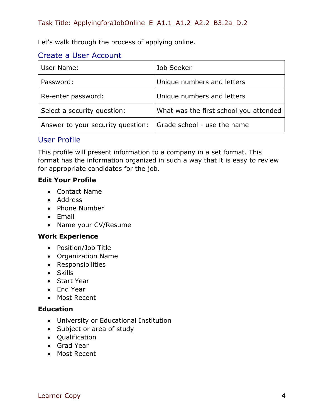Let's walk through the process of applying online.

## Create a User Account

| User Name:                        | Job Seeker                             |  |
|-----------------------------------|----------------------------------------|--|
| Password:                         | Unique numbers and letters             |  |
| Re-enter password:                | Unique numbers and letters             |  |
| Select a security question:       | What was the first school you attended |  |
| Answer to your security question: | Grade school - use the name            |  |

# User Profile

This profile will present information to a company in a set format. This format has the information organized in such a way that it is easy to review for appropriate candidates for the job.

## **Edit Your Profile**

- Contact Name
- Address
- Phone Number
- Email
- Name your CV/Resume

## **Work Experience**

- Position/Job Title
- Organization Name
- Responsibilities
- Skills
- Start Year
- End Year
- Most Recent

## **Education**

- University or Educational Institution
- Subject or area of study
- Qualification
- Grad Year
- Most Recent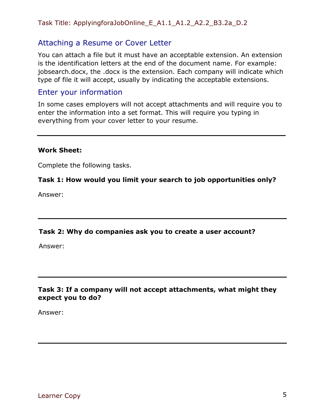## Task Title: ApplyingforaJobOnline\_E\_A1.1\_A1.2\_A2.2\_B3.2a\_D.2

## Attaching a Resume or Cover Letter

You can attach a file but it must have an acceptable extension. An extension is the identification letters at the end of the document name. For example: jobsearch.docx, the .docx is the extension. Each company will indicate which type of file it will accept, usually by indicating the acceptable extensions.

## Enter your information

In some cases employers will not accept attachments and will require you to enter the information into a set format. This will require you typing in everything from your cover letter to your resume.

#### **Work Sheet:**

Complete the following tasks.

#### **Task 1: How would you limit your search to job opportunities only?**

Answer:

#### **Task 2: Why do companies ask you to create a user account?**

Answer:

## **Task 3: If a company will not accept attachments, what might they expect you to do?**

Answer: